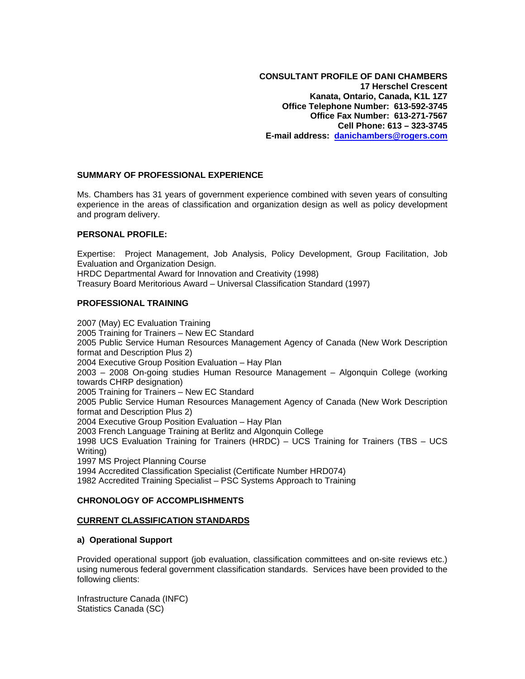**CONSULTANT PROFILE OF DANI CHAMBERS 17 Herschel Crescent Kanata, Ontario, Canada, K1L 1Z7 Office Telephone Number: 613-592-3745 Office Fax Number: 613-271-7567 Cell Phone: 613 – 323-3745 E-mail address: [danichambers@rogers.com](mailto:danichambers@sympatico.ca)** 

### **SUMMARY OF PROFESSIONAL EXPERIENCE**

Ms. Chambers has 31 years of government experience combined with seven years of consulting experience in the areas of classification and organization design as well as policy development and program delivery.

### **PERSONAL PROFILE:**

Expertise: Project Management, Job Analysis, Policy Development, Group Facilitation, Job Evaluation and Organization Design. HRDC Departmental Award for Innovation and Creativity (1998) Treasury Board Meritorious Award – Universal Classification Standard (1997)

#### **PROFESSIONAL TRAINING**

2007 (May) EC Evaluation Training 2005 Training for Trainers – New EC Standard 2005 Public Service Human Resources Management Agency of Canada (New Work Description format and Description Plus 2) 2004 Executive Group Position Evaluation – Hay Plan 2003 – 2008 On-going studies Human Resource Management – Algonquin College (working towards CHRP designation) 2005 Training for Trainers – New EC Standard 2005 Public Service Human Resources Management Agency of Canada (New Work Description format and Description Plus 2) 2004 Executive Group Position Evaluation – Hay Plan 2003 French Language Training at Berlitz and Algonquin College 1998 UCS Evaluation Training for Trainers (HRDC) – UCS Training for Trainers (TBS – UCS Writing) 1997 MS Project Planning Course 1994 Accredited Classification Specialist (Certificate Number HRD074) 1982 Accredited Training Specialist – PSC Systems Approach to Training

# **CHRONOLOGY OF ACCOMPLISHMENTS**

#### **CURRENT CLASSIFICATION STANDARDS**

#### **a) Operational Support**

Provided operational support (job evaluation, classification committees and on-site reviews etc.) using numerous federal government classification standards. Services have been provided to the following clients:

Infrastructure Canada (INFC) Statistics Canada (SC)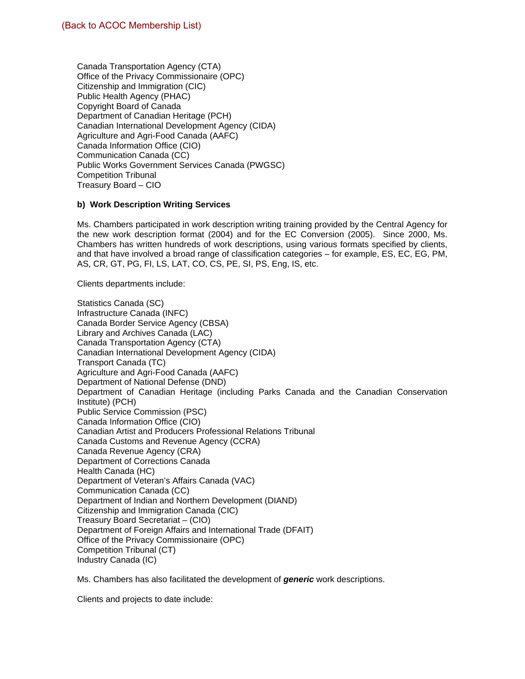Canada Transportation Agency (CTA) Office of the Privacy Commissionaire (OPC) Citizenship and Immigration (CIC) Public Health Agency (PHAC) Copyright Board of Canada Department of Canadian Heritage (PCH) Canadian International Development Agency (CIDA) Agriculture and Agri-Food Canada (AAFC) Canada Information Office (CIO) Communication Canada (CC) Public Works Government Services Canada (PWGSC) Competition Tribunal Treasury Board – CIO

### **b) Work Description Writing Services**

Ms. Chambers participated in work description writing training provided by the Central Agency for the new work description format (2004) and for the EC Conversion (2005). Since 2000, Ms. Chambers has written hundreds of work descriptions, using various formats specified by clients, and that have involved a broad range of classification categories – for example, ES, EC, EG, PM, AS, CR, GT, PG, FI, LS, LAT, CO, CS, PE, SI, PS, Eng, IS, etc.

Clients departments include:

Statistics Canada (SC) Infrastructure Canada (INFC) Canada Border Service Agency (CBSA) Library and Archives Canada (LAC) Canada Transportation Agency (CTA) Canadian International Development Agency (CIDA) Transport Canada (TC) Agriculture and Agri-Food Canada (AAFC) Department of National Defense (DND) Department of Canadian Heritage (including Parks Canada and the Canadian Conservation Institute) (PCH) Public Service Commission (PSC) Canada Information Office (CIO) Canadian Artist and Producers Professional Relations Tribunal Canada Customs and Revenue Agency (CCRA) Canada Revenue Agency (CRA) Department of Corrections Canada Health Canada (HC) Department of Veteran's Affairs Canada (VAC) Communication Canada (CC) Department of Indian and Northern Development (DIAND) Citizenship and Immigration Canada (CIC) Treasury Board Secretariat – (CIO) Department of Foreign Affairs and International Trade (DFAIT) Office of the Privacy Commissionaire (OPC) Competition Tribunal (CT) Industry Canada (IC)

Ms. Chambers has also facilitated the development of *generic* work descriptions.

Clients and projects to date include: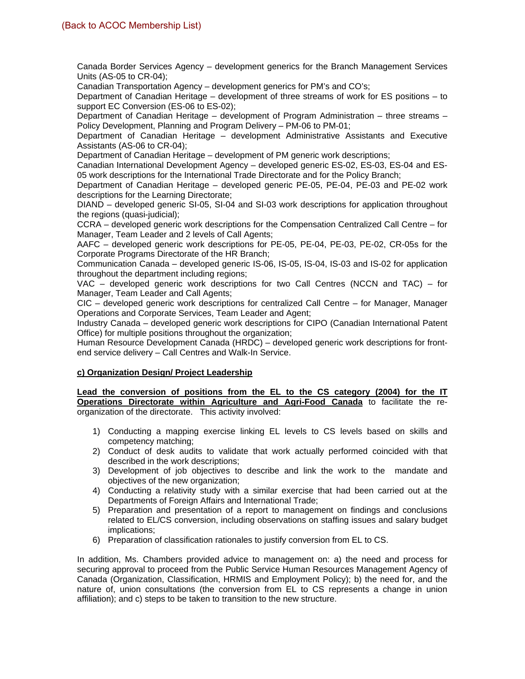Canada Border Services Agency – development generics for the Branch Management Services Units (AS-05 to CR-04);

Canadian Transportation Agency – development generics for PM's and CO's;

Department of Canadian Heritage – development of three streams of work for ES positions – to support EC Conversion (ES-06 to ES-02);

Department of Canadian Heritage – development of Program Administration – three streams – Policy Development, Planning and Program Delivery – PM-06 to PM-01;

Department of Canadian Heritage – development Administrative Assistants and Executive Assistants (AS-06 to CR-04);

Department of Canadian Heritage – development of PM generic work descriptions;

Canadian International Development Agency – developed generic ES-02, ES-03, ES-04 and ES-05 work descriptions for the International Trade Directorate and for the Policy Branch;

Department of Canadian Heritage – developed generic PE-05, PE-04, PE-03 and PE-02 work descriptions for the Learning Directorate;

DIAND – developed generic SI-05, SI-04 and SI-03 work descriptions for application throughout the regions (quasi-judicial);

CCRA – developed generic work descriptions for the Compensation Centralized Call Centre – for Manager, Team Leader and 2 levels of Call Agents;

AAFC – developed generic work descriptions for PE-05, PE-04, PE-03, PE-02, CR-05s for the Corporate Programs Directorate of the HR Branch;

Communication Canada – developed generic IS-06, IS-05, IS-04, IS-03 and IS-02 for application throughout the department including regions;

VAC – developed generic work descriptions for two Call Centres (NCCN and TAC) – for Manager, Team Leader and Call Agents;

CIC – developed generic work descriptions for centralized Call Centre – for Manager, Manager Operations and Corporate Services, Team Leader and Agent;

Industry Canada – developed generic work descriptions for CIPO (Canadian International Patent Office) for multiple positions throughout the organization;

Human Resource Development Canada (HRDC) – developed generic work descriptions for frontend service delivery – Call Centres and Walk-In Service.

# **c) Organization Design/ Project Leadership**

**Lead the conversion of positions from the EL to the CS category (2004) for the IT Operations Directorate within Agriculture and Agri-Food Canada** to facilitate the reorganization of the directorate. This activity involved:

- 1) Conducting a mapping exercise linking EL levels to CS levels based on skills and competency matching;
- 2) Conduct of desk audits to validate that work actually performed coincided with that described in the work descriptions;
- 3) Development of job objectives to describe and link the work to the mandate and objectives of the new organization;
- 4) Conducting a relativity study with a similar exercise that had been carried out at the Departments of Foreign Affairs and International Trade;
- 5) Preparation and presentation of a report to management on findings and conclusions related to EL/CS conversion, including observations on staffing issues and salary budget implications;
- 6) Preparation of classification rationales to justify conversion from EL to CS.

In addition, Ms. Chambers provided advice to management on: a) the need and process for securing approval to proceed from the Public Service Human Resources Management Agency of Canada (Organization, Classification, HRMIS and Employment Policy); b) the need for, and the nature of, union consultations (the conversion from EL to CS represents a change in union affiliation); and c) steps to be taken to transition to the new structure.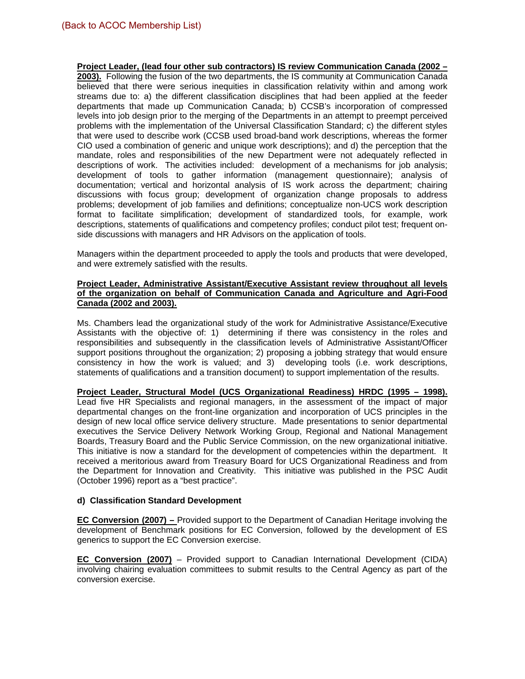**Project Leader, (lead four other sub contractors) IS review Communication Canada (2002 – 2003).** Following the fusion of the two departments, the IS community at Communication Canada believed that there were serious inequities in classification relativity within and among work streams due to: a) the different classification disciplines that had been applied at the feeder departments that made up Communication Canada; b) CCSB's incorporation of compressed levels into job design prior to the merging of the Departments in an attempt to preempt perceived problems with the implementation of the Universal Classification Standard; c) the different styles that were used to describe work (CCSB used broad-band work descriptions, whereas the former CIO used a combination of generic and unique work descriptions); and d) the perception that the mandate, roles and responsibilities of the new Department were not adequately reflected in descriptions of work. The activities included: development of a mechanisms for job analysis; development of tools to gather information (management questionnaire); analysis of documentation; vertical and horizontal analysis of IS work across the department; chairing discussions with focus group; development of organization change proposals to address problems; development of job families and definitions; conceptualize non-UCS work description format to facilitate simplification; development of standardized tools, for example, work descriptions, statements of qualifications and competency profiles; conduct pilot test; frequent onside discussions with managers and HR Advisors on the application of tools.

Managers within the department proceeded to apply the tools and products that were developed, and were extremely satisfied with the results.

#### **Project Leader, Administrative Assistant/Executive Assistant review throughout all levels of the organization on behalf of Communication Canada and Agriculture and Agri-Food Canada (2002 and 2003).**

Ms. Chambers lead the organizational study of the work for Administrative Assistance/Executive Assistants with the objective of: 1) determining if there was consistency in the roles and responsibilities and subsequently in the classification levels of Administrative Assistant/Officer support positions throughout the organization; 2) proposing a jobbing strategy that would ensure consistency in how the work is valued; and 3) developing tools (i.e. work descriptions, statements of qualifications and a transition document) to support implementation of the results.

**Project Leader, Structural Model (UCS Organizational Readiness) HRDC (1995 – 1998).** Lead five HR Specialists and regional managers, in the assessment of the impact of major departmental changes on the front-line organization and incorporation of UCS principles in the design of new local office service delivery structure. Made presentations to senior departmental executives the Service Delivery Network Working Group, Regional and National Management Boards, Treasury Board and the Public Service Commission, on the new organizational initiative. This initiative is now a standard for the development of competencies within the department. It received a meritorious award from Treasury Board for UCS Organizational Readiness and from the Department for Innovation and Creativity. This initiative was published in the PSC Audit (October 1996) report as a "best practice".

# **d) Classification Standard Development**

**EC Conversion (2007) –** Provided support to the Department of Canadian Heritage involving the development of Benchmark positions for EC Conversion, followed by the development of ES generics to support the EC Conversion exercise.

**EC Conversion (2007)** – Provided support to Canadian International Development (CIDA) involving chairing evaluation committees to submit results to the Central Agency as part of the conversion exercise.